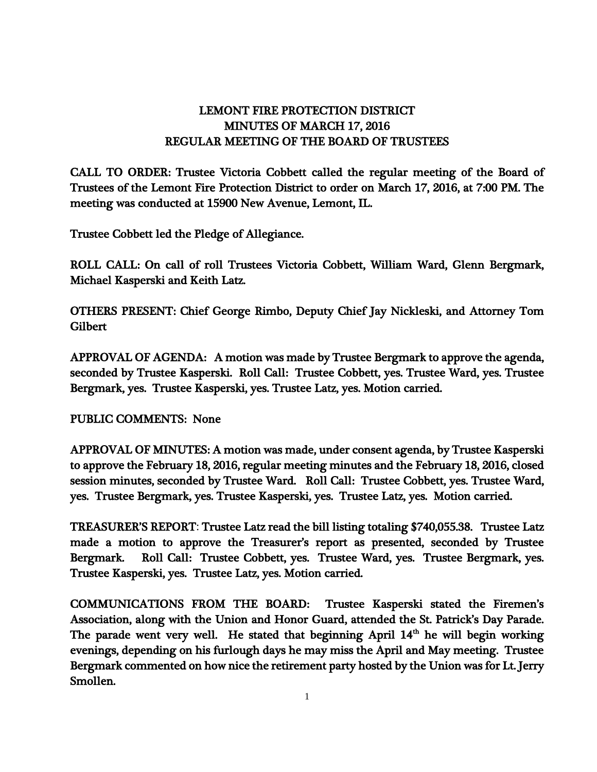## LEMONT FIRE PROTECTION DISTRICT MINUTES OF MARCH 17, 2016 REGULAR MEETING OF THE BOARD OF TRUSTEES

CALL TO ORDER: Trustee Victoria Cobbett called the regular meeting of the Board of Trustees of the Lemont Fire Protection District to order on March 17, 2016, at 7:00 PM. The meeting was conducted at 15900 New Avenue, Lemont, IL.

Trustee Cobbett led the Pledge of Allegiance.

ROLL CALL: On call of roll Trustees Victoria Cobbett, William Ward, Glenn Bergmark, Michael Kasperski and Keith Latz.

OTHERS PRESENT: Chief George Rimbo, Deputy Chief Jay Nickleski, and Attorney Tom Gilbert

APPROVAL OF AGENDA: A motion was made by Trustee Bergmark to approve the agenda, seconded by Trustee Kasperski. Roll Call: Trustee Cobbett, yes. Trustee Ward, yes. Trustee Bergmark, yes. Trustee Kasperski, yes. Trustee Latz, yes. Motion carried.

PUBLIC COMMENTS: None

APPROVAL OF MINUTES: A motion was made, under consent agenda, by Trustee Kasperski to approve the February 18, 2016, regular meeting minutes and the February 18, 2016, closed session minutes, seconded by Trustee Ward. Roll Call: Trustee Cobbett, yes. Trustee Ward, yes. Trustee Bergmark, yes. Trustee Kasperski, yes. Trustee Latz, yes. Motion carried.

TREASURER'S REPORT: Trustee Latz read the bill listing totaling \$740,055.38. Trustee Latz made a motion to approve the Treasurer's report as presented, seconded by Trustee Bergmark. Roll Call: Trustee Cobbett, yes. Trustee Ward, yes. Trustee Bergmark, yes. Trustee Kasperski, yes. Trustee Latz, yes. Motion carried.

COMMUNICATIONS FROM THE BOARD: Trustee Kasperski stated the Firemen's Association, along with the Union and Honor Guard, attended the St. Patrick's Day Parade. The parade went very well. He stated that beginning April  $14<sup>th</sup>$  he will begin working evenings, depending on his furlough days he may miss the April and May meeting. Trustee Bergmark commented on how nice the retirement party hosted by the Union was for Lt. Jerry Smollen.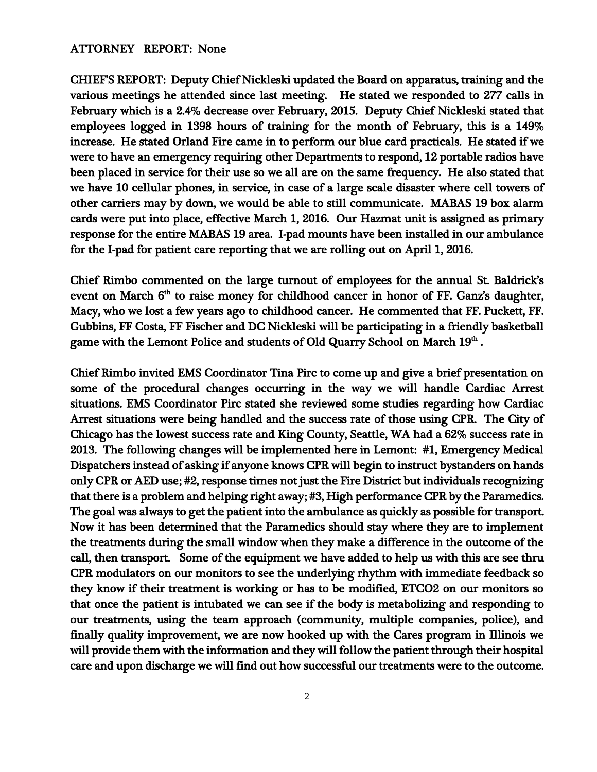## ATTORNEY REPORT: None

CHIEF'S REPORT: Deputy Chief Nickleski updated the Board on apparatus, training and the various meetings he attended since last meeting. He stated we responded to 277 calls in February which is a 2.4% decrease over February, 2015. Deputy Chief Nickleski stated that employees logged in 1398 hours of training for the month of February, this is a 149% increase. He stated Orland Fire came in to perform our blue card practicals. He stated if we were to have an emergency requiring other Departments to respond, 12 portable radios have been placed in service for their use so we all are on the same frequency. He also stated that we have 10 cellular phones, in service, in case of a large scale disaster where cell towers of other carriers may by down, we would be able to still communicate. MABAS 19 box alarm cards were put into place, effective March 1, 2016. Our Hazmat unit is assigned as primary response for the entire MABAS 19 area. I-pad mounts have been installed in our ambulance for the I-pad for patient care reporting that we are rolling out on April 1, 2016.

Chief Rimbo commented on the large turnout of employees for the annual St. Baldrick's event on March  $6<sup>th</sup>$  to raise money for childhood cancer in honor of FF. Ganz's daughter, Macy, who we lost a few years ago to childhood cancer. He commented that FF. Puckett, FF. Gubbins, FF Costa, FF Fischer and DC Nickleski will be participating in a friendly basketball game with the Lemont Police and students of Old Quarry School on March  $19^{\rm th}$  .

Chief Rimbo invited EMS Coordinator Tina Pirc to come up and give a brief presentation on some of the procedural changes occurring in the way we will handle Cardiac Arrest situations. EMS Coordinator Pirc stated she reviewed some studies regarding how Cardiac Arrest situations were being handled and the success rate of those using CPR. The City of Chicago has the lowest success rate and King County, Seattle, WA had a 62% success rate in 2013. The following changes will be implemented here in Lemont: #1, Emergency Medical Dispatchers instead of asking if anyone knows CPR will begin to instruct bystanders on hands only CPR or AED use; #2, response times not just the Fire District but individuals recognizing that there is a problem and helping right away; #3, High performance CPR by the Paramedics. The goal was always to get the patient into the ambulance as quickly as possible for transport. Now it has been determined that the Paramedics should stay where they are to implement the treatments during the small window when they make a difference in the outcome of the call, then transport. Some of the equipment we have added to help us with this are see thru CPR modulators on our monitors to see the underlying rhythm with immediate feedback so they know if their treatment is working or has to be modified, ETCO2 on our monitors so that once the patient is intubated we can see if the body is metabolizing and responding to our treatments, using the team approach (community, multiple companies, police), and finally quality improvement, we are now hooked up with the Cares program in Illinois we will provide them with the information and they will follow the patient through their hospital care and upon discharge we will find out how successful our treatments were to the outcome.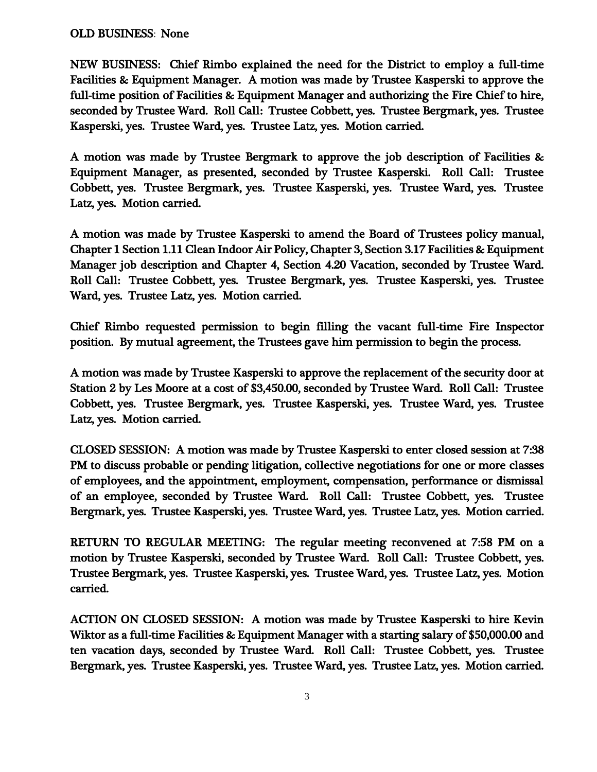## OLD BUSINESS: None

NEW BUSINESS: Chief Rimbo explained the need for the District to employ a full-time Facilities & Equipment Manager. A motion was made by Trustee Kasperski to approve the full-time position of Facilities & Equipment Manager and authorizing the Fire Chief to hire, seconded by Trustee Ward. Roll Call: Trustee Cobbett, yes. Trustee Bergmark, yes. Trustee Kasperski, yes. Trustee Ward, yes. Trustee Latz, yes. Motion carried.

A motion was made by Trustee Bergmark to approve the job description of Facilities & Equipment Manager, as presented, seconded by Trustee Kasperski. Roll Call: Trustee Cobbett, yes. Trustee Bergmark, yes. Trustee Kasperski, yes. Trustee Ward, yes. Trustee Latz, yes. Motion carried.

A motion was made by Trustee Kasperski to amend the Board of Trustees policy manual, Chapter 1 Section 1.11 Clean Indoor Air Policy, Chapter 3, Section 3.17 Facilities & Equipment Manager job description and Chapter 4, Section 4.20 Vacation, seconded by Trustee Ward. Roll Call: Trustee Cobbett, yes. Trustee Bergmark, yes. Trustee Kasperski, yes. Trustee Ward, yes. Trustee Latz, yes. Motion carried.

Chief Rimbo requested permission to begin filling the vacant full-time Fire Inspector position. By mutual agreement, the Trustees gave him permission to begin the process.

A motion was made by Trustee Kasperski to approve the replacement of the security door at Station 2 by Les Moore at a cost of \$3,450.00, seconded by Trustee Ward. Roll Call: Trustee Cobbett, yes. Trustee Bergmark, yes. Trustee Kasperski, yes. Trustee Ward, yes. Trustee Latz, yes. Motion carried.

CLOSED SESSION: A motion was made by Trustee Kasperski to enter closed session at 7:38 PM to discuss probable or pending litigation, collective negotiations for one or more classes of employees, and the appointment, employment, compensation, performance or dismissal of an employee, seconded by Trustee Ward. Roll Call: Trustee Cobbett, yes. Trustee Bergmark, yes. Trustee Kasperski, yes. Trustee Ward, yes. Trustee Latz, yes. Motion carried.

RETURN TO REGULAR MEETING: The regular meeting reconvened at 7:58 PM on a motion by Trustee Kasperski, seconded by Trustee Ward. Roll Call: Trustee Cobbett, yes. Trustee Bergmark, yes. Trustee Kasperski, yes. Trustee Ward, yes. Trustee Latz, yes. Motion carried.

ACTION ON CLOSED SESSION: A motion was made by Trustee Kasperski to hire Kevin Wiktor as a full-time Facilities & Equipment Manager with a starting salary of \$50,000.00 and ten vacation days, seconded by Trustee Ward. Roll Call: Trustee Cobbett, yes. Trustee Bergmark, yes. Trustee Kasperski, yes. Trustee Ward, yes. Trustee Latz, yes. Motion carried.